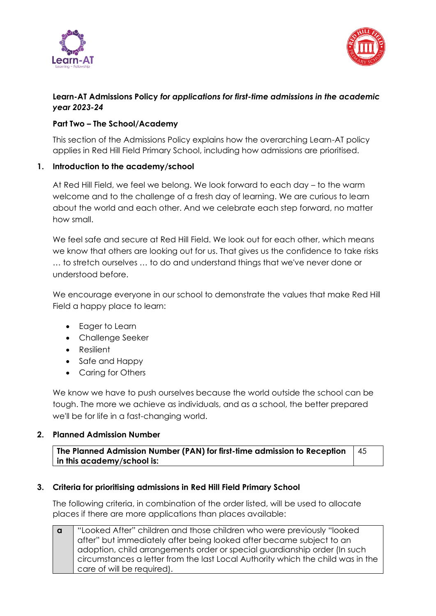



# **Learn-AT Admissions Policy** *for applications for first-time admissions in the academic year 2023-24*

## **Part Two – The School/Academy**

This section of the Admissions Policy explains how the overarching Learn-AT policy applies in Red Hill Field Primary School, including how admissions are prioritised.

### **1. Introduction to the academy/school**

At Red Hill Field, we feel we belong. We look forward to each day – to the warm welcome and to the challenge of a fresh day of learning. We are curious to learn about the world and each other. And we celebrate each step forward, no matter how small.

We feel safe and secure at Red Hill Field. We look out for each other, which means we know that others are looking out for us. That gives us the confidence to take risks … to stretch ourselves … to do and understand things that we've never done or understood before.

We encourage everyone in our school to demonstrate the values that make Red Hill Field a happy place to learn:

- Eager to Learn
- Challenge Seeker
- Resilient
- Safe and Happy
- Caring for Others

We know we have to push ourselves because the world outside the school can be tough. The more we achieve as individuals, and as a school, the better prepared we'll be for life in a fast-changing world.

#### **2. Planned Admission Number**

**The Planned Admission Number (PAN) for first-time admission to Reception in this academy/school is:** 45

#### **3. Criteria for prioritising admissions in Red Hill Field Primary School**

The following criteria, in combination of the order listed, will be used to allocate places if there are more applications than places available:

**a** "Looked After" children and those children who were previously "looked after" but immediately after being looked after became subject to an adoption, child arrangements order or special guardianship order (In such circumstances a letter from the last Local Authority which the child was in the care of will be required).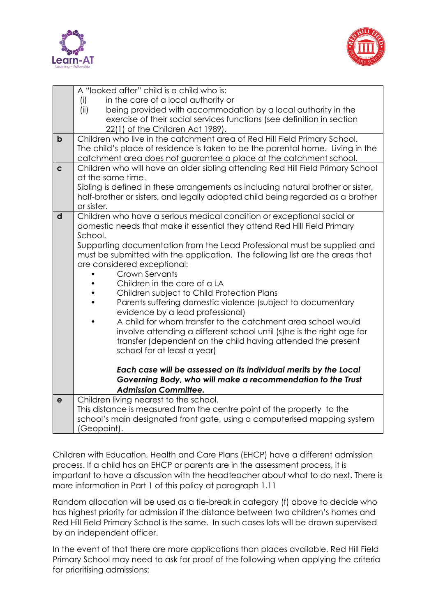



|             | A "looked after" child is a child who is:                                                                                                                 |
|-------------|-----------------------------------------------------------------------------------------------------------------------------------------------------------|
|             | in the care of a local authority or<br>(i)                                                                                                                |
|             | (ii)<br>being provided with accommodation by a local authority in the                                                                                     |
|             | exercise of their social services functions (see definition in section                                                                                    |
|             | 22(1) of the Children Act 1989).                                                                                                                          |
| $\mathbf b$ | Children who live in the catchment area of Red Hill Field Primary School.                                                                                 |
|             | The child's place of residence is taken to be the parental home. Living in the                                                                            |
|             | catchment area does not guarantee a place at the catchment school.                                                                                        |
| $\mathbf c$ | Children who will have an older sibling attending Red Hill Field Primary School                                                                           |
|             | at the same time.                                                                                                                                         |
|             | Sibling is defined in these arrangements as including natural brother or sister,                                                                          |
|             | half-brother or sisters, and legally adopted child being regarded as a brother                                                                            |
|             | or sister.                                                                                                                                                |
| d           | Children who have a serious medical condition or exceptional social or                                                                                    |
|             | domestic needs that make it essential they attend Red Hill Field Primary                                                                                  |
|             | School.                                                                                                                                                   |
|             | Supporting documentation from the Lead Professional must be supplied and<br>must be submitted with the application. The following list are the areas that |
|             | are considered exceptional:                                                                                                                               |
|             | Crown Servants                                                                                                                                            |
|             | Children in the care of a LA                                                                                                                              |
|             | Children subject to Child Protection Plans                                                                                                                |
|             | Parents suffering domestic violence (subject to documentary                                                                                               |
|             | evidence by a lead professional)                                                                                                                          |
|             | A child for whom transfer to the catchment area school would                                                                                              |
|             | involve attending a different school until (s) he is the right age for                                                                                    |
|             | transfer (dependent on the child having attended the present                                                                                              |
|             | school for at least a year)                                                                                                                               |
|             |                                                                                                                                                           |
|             | Each case will be assessed on its individual merits by the Local                                                                                          |
|             | Governing Body, who will make a recommendation to the Trust                                                                                               |
|             | <b>Admission Committee.</b>                                                                                                                               |
| $\mathbf e$ | Children living nearest to the school.                                                                                                                    |
|             | This distance is measured from the centre point of the property to the                                                                                    |
|             | school's main designated front gate, using a computerised mapping system                                                                                  |
|             | (Geopoint).                                                                                                                                               |

Children with Education, Health and Care Plans (EHCP) have a different admission process. If a child has an EHCP or parents are in the assessment process, it is important to have a discussion with the headteacher about what to do next. There is more information in Part 1 of this policy at paragraph 1.11

Random allocation will be used as a tie-break in category (f) above to decide who has highest priority for admission if the distance between two children's homes and Red Hill Field Primary School is the same. In such cases lots will be drawn supervised by an independent officer.

In the event of that there are more applications than places available, Red Hill Field Primary School may need to ask for proof of the following when applying the criteria for prioritising admissions: